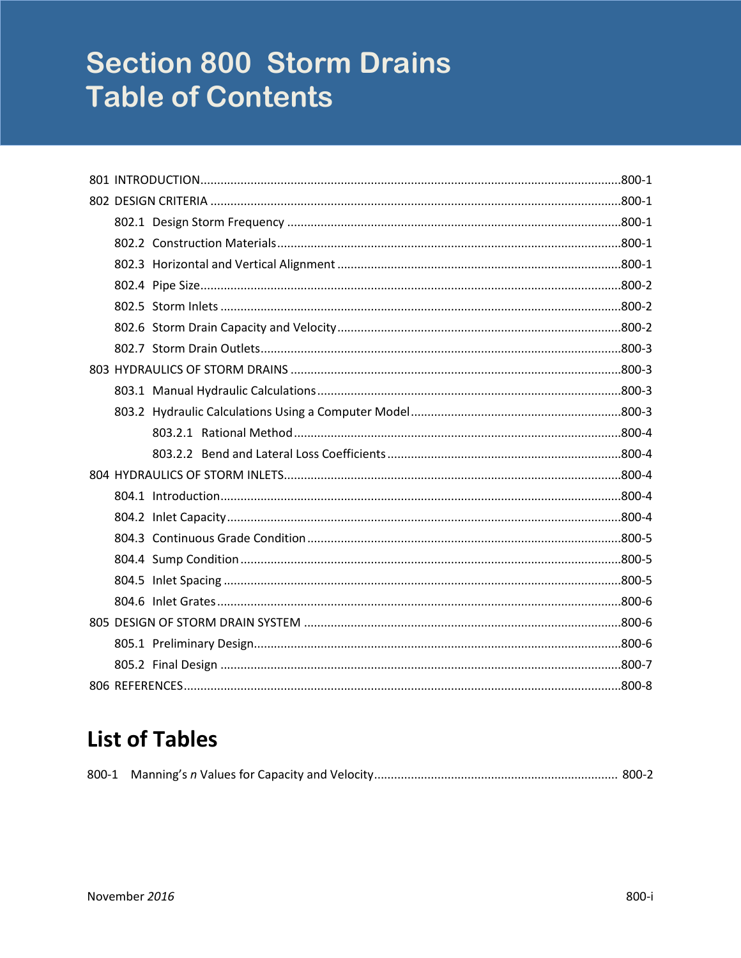# **Section 800 Storm Drains Table of Contents**

# **List of Tables**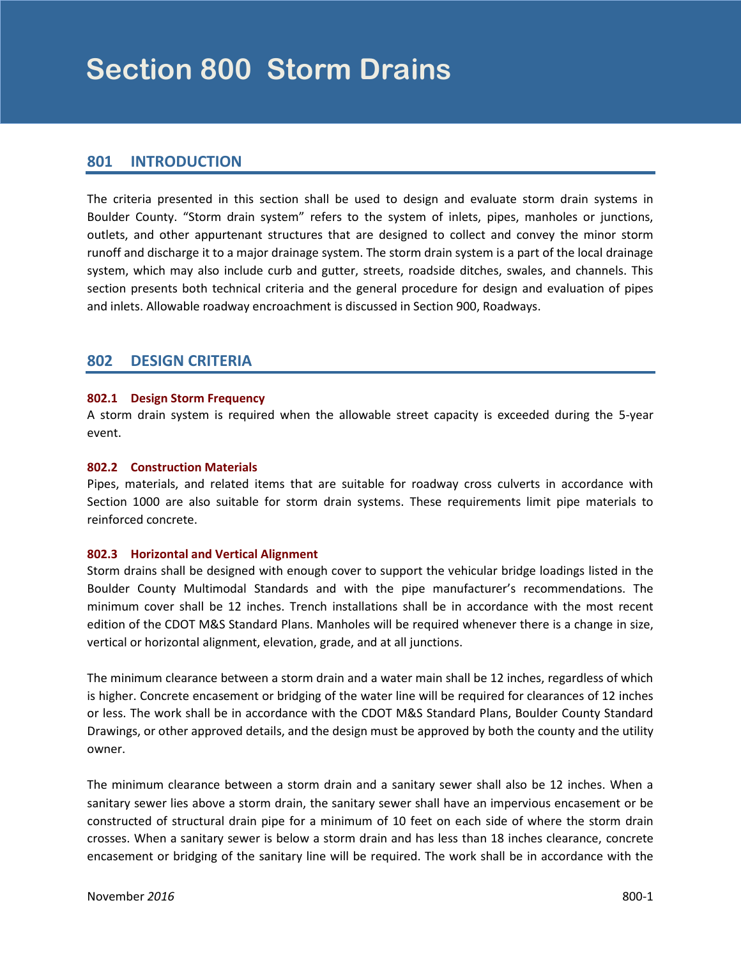# <span id="page-2-0"></span>**801 INTRODUCTION**

The criteria presented in this section shall be used to design and evaluate storm drain systems in Boulder County. "Storm drain system" refers to the system of inlets, pipes, manholes or junctions, outlets, and other appurtenant structures that are designed to collect and convey the minor storm runoff and discharge it to a major drainage system. The storm drain system is a part of the local drainage system, which may also include curb and gutter, streets, roadside ditches, swales, and channels. This section presents both technical criteria and the general procedure for design and evaluation of pipes and inlets. Allowable roadway encroachment is discussed in Section 900, Roadways.

# **802 DESIGN CRITERIA**

#### **802.1 Design Storm Frequency**

A storm drain system is required when the allowable street capacity is exceeded during the 5-year event.

#### **802.2 Construction Materials**

Pipes, materials, and related items that are suitable for roadway cross culverts in accordance with Section 1000 are also suitable for storm drain systems. These requirements limit pipe materials to reinforced concrete.

#### **802.3 Horizontal and Vertical Alignment**

Storm drains shall be designed with enough cover to support the vehicular bridge loadings listed in the Boulder County Multimodal Standards and with the pipe manufacturer's recommendations. The minimum cover shall be 12 inches. Trench installations shall be in accordance with the most recent edition of the CDOT M&S Standard Plans. Manholes will be required whenever there is a change in size, vertical or horizontal alignment, elevation, grade, and at all junctions.

The minimum clearance between a storm drain and a water main shall be 12 inches, regardless of which is higher. Concrete encasement or bridging of the water line will be required for clearances of 12 inches or less. The work shall be in accordance with the CDOT M&S Standard Plans, Boulder County Standard Drawings, or other approved details, and the design must be approved by both the county and the utility owner.

The minimum clearance between a storm drain and a sanitary sewer shall also be 12 inches. When a sanitary sewer lies above a storm drain, the sanitary sewer shall have an impervious encasement or be constructed of structural drain pipe for a minimum of 10 feet on each side of where the storm drain crosses. When a sanitary sewer is below a storm drain and has less than 18 inches clearance, concrete encasement or bridging of the sanitary line will be required. The work shall be in accordance with the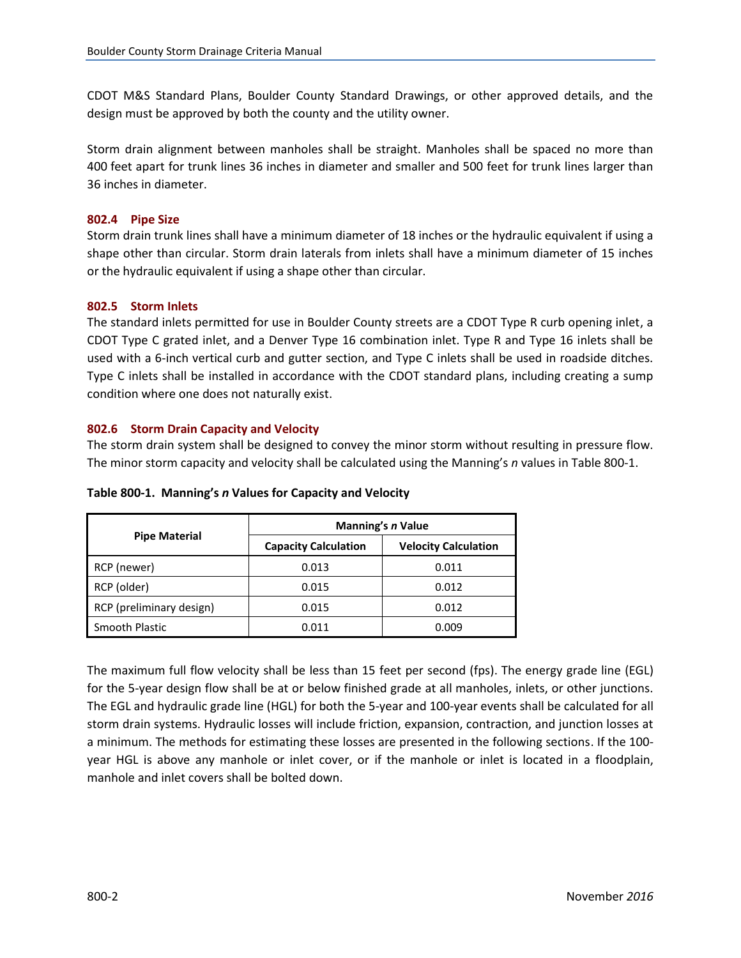<span id="page-3-0"></span>CDOT M&S Standard Plans, Boulder County Standard Drawings, or other approved details, and the design must be approved by both the county and the utility owner.

Storm drain alignment between manholes shall be straight. Manholes shall be spaced no more than 400 feet apart for trunk lines 36 inches in diameter and smaller and 500 feet for trunk lines larger than 36 inches in diameter.

#### **802.4 Pipe Size**

Storm drain trunk lines shall have a minimum diameter of 18 inches or the hydraulic equivalent if using a shape other than circular. Storm drain laterals from inlets shall have a minimum diameter of 15 inches or the hydraulic equivalent if using a shape other than circular.

#### **802.5 Storm Inlets**

The standard inlets permitted for use in Boulder County streets are a CDOT Type R curb opening inlet, a CDOT Type C grated inlet, and a Denver Type 16 combination inlet. Type R and Type 16 inlets shall be used with a 6-inch vertical curb and gutter section, and Type C inlets shall be used in roadside ditches. Type C inlets shall be installed in accordance with the CDOT standard plans, including creating a sump condition where one does not naturally exist.

#### **802.6 Storm Drain Capacity and Velocity**

The storm drain system shall be designed to convey the minor storm without resulting in pressure flow. The minor storm capacity and velocity shall be calculated using the Manning's *n* values in Table 800-1.

|                          | Manning's n Value           |                             |  |
|--------------------------|-----------------------------|-----------------------------|--|
| <b>Pipe Material</b>     | <b>Capacity Calculation</b> | <b>Velocity Calculation</b> |  |
| RCP (newer)              | 0.013                       | 0.011                       |  |
| RCP (older)              | 0.015                       | 0.012                       |  |
| RCP (preliminary design) | 0.015                       | 0.012                       |  |
| Smooth Plastic           | 0.011                       | 0.009                       |  |

**Table 800-1. Manning's** *n* **Values for Capacity and Velocity**

The maximum full flow velocity shall be less than 15 feet per second (fps). The energy grade line (EGL) for the 5-year design flow shall be at or below finished grade at all manholes, inlets, or other junctions. The EGL and hydraulic grade line (HGL) for both the 5-year and 100-year events shall be calculated for all storm drain systems. Hydraulic losses will include friction, expansion, contraction, and junction losses at a minimum. The methods for estimating these losses are presented in the following sections. If the 100 year HGL is above any manhole or inlet cover, or if the manhole or inlet is located in a floodplain, manhole and inlet covers shall be bolted down.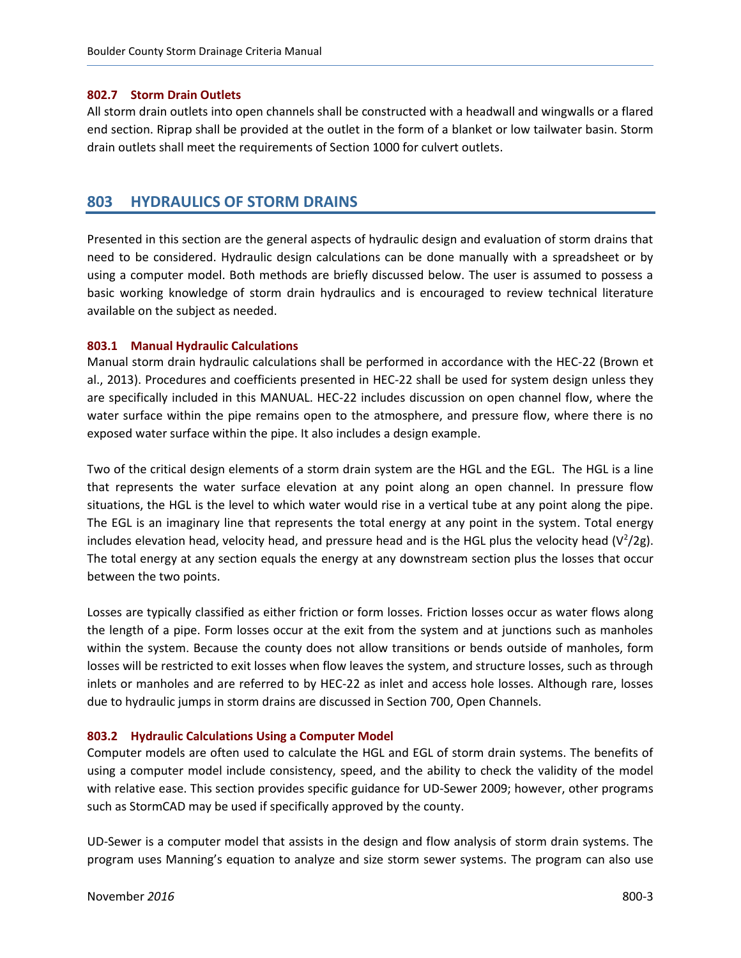#### <span id="page-4-0"></span>**802.7 Storm Drain Outlets**

All storm drain outlets into open channels shall be constructed with a headwall and wingwalls or a flared end section. Riprap shall be provided at the outlet in the form of a blanket or low tailwater basin. Storm drain outlets shall meet the requirements of Section 1000 for culvert outlets.

### **803 HYDRAULICS OF STORM DRAINS**

Presented in this section are the general aspects of hydraulic design and evaluation of storm drains that need to be considered. Hydraulic design calculations can be done manually with a spreadsheet or by using a computer model. Both methods are briefly discussed below. The user is assumed to possess a basic working knowledge of storm drain hydraulics and is encouraged to review technical literature available on the subject as needed.

#### **803.1 Manual Hydraulic Calculations**

Manual storm drain hydraulic calculations shall be performed in accordance with the HEC-22 (Brown et al., 2013). Procedures and coefficients presented in HEC-22 shall be used for system design unless they are specifically included in this MANUAL. HEC-22 includes discussion on open channel flow, where the water surface within the pipe remains open to the atmosphere, and pressure flow, where there is no exposed water surface within the pipe. It also includes a design example.

Two of the critical design elements of a storm drain system are the HGL and the EGL. The HGL is a line that represents the water surface elevation at any point along an open channel. In pressure flow situations, the HGL is the level to which water would rise in a vertical tube at any point along the pipe. The EGL is an imaginary line that represents the total energy at any point in the system. Total energy includes elevation head, velocity head, and pressure head and is the HGL plus the velocity head (V<sup>2</sup>/2g). The total energy at any section equals the energy at any downstream section plus the losses that occur between the two points.

Losses are typically classified as either friction or form losses. Friction losses occur as water flows along the length of a pipe. Form losses occur at the exit from the system and at junctions such as manholes within the system. Because the county does not allow transitions or bends outside of manholes, form losses will be restricted to exit losses when flow leaves the system, and structure losses, such as through inlets or manholes and are referred to by HEC-22 as inlet and access hole losses. Although rare, losses due to hydraulic jumps in storm drains are discussed in Section 700, Open Channels.

#### **803.2 Hydraulic Calculations Using a Computer Model**

Computer models are often used to calculate the HGL and EGL of storm drain systems. The benefits of using a computer model include consistency, speed, and the ability to check the validity of the model with relative ease. This section provides specific guidance for UD-Sewer 2009; however, other programs such as StormCAD may be used if specifically approved by the county.

UD-Sewer is a computer model that assists in the design and flow analysis of storm drain systems. The program uses Manning's equation to analyze and size storm sewer systems. The program can also use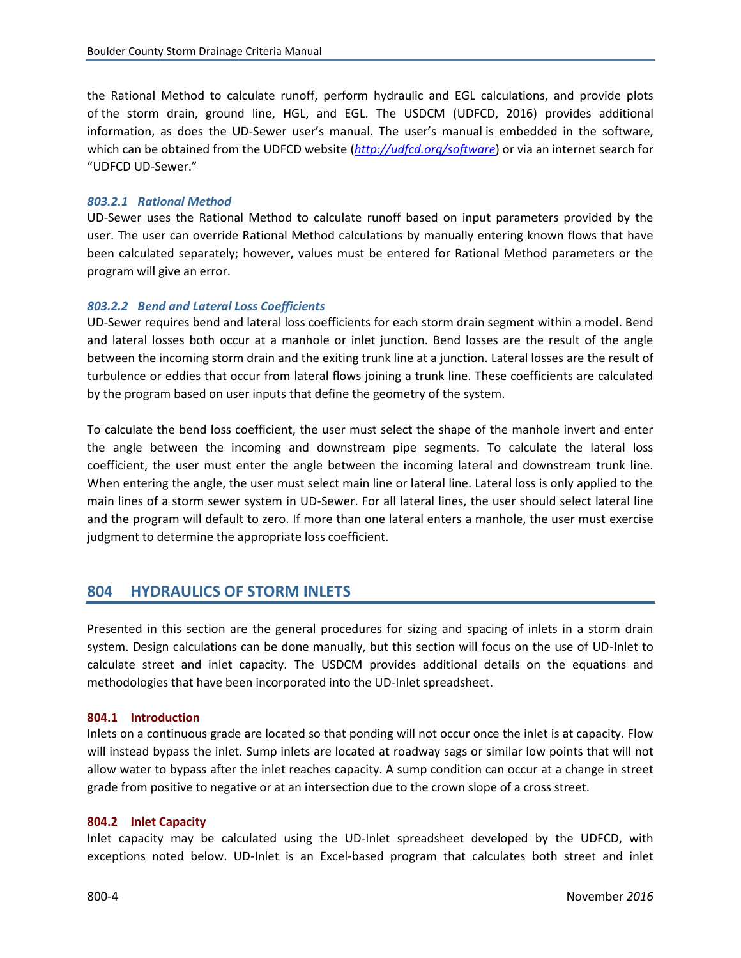<span id="page-5-0"></span>the Rational Method to calculate runoff, perform hydraulic and EGL calculations, and provide plots of the storm drain, ground line, HGL, and EGL. The USDCM (UDFCD, 2016) provides additional information, as does the UD-Sewer user's manual. The user's manual is embedded in the software, which can be obtained from the UDFCD website (*<http://udfcd.org/software>*) or via an internet search for "UDFCD UD-Sewer."

#### *803.2.1 Rational Method*

UD-Sewer uses the Rational Method to calculate runoff based on input parameters provided by the user. The user can override Rational Method calculations by manually entering known flows that have been calculated separately; however, values must be entered for Rational Method parameters or the program will give an error.

#### *803.2.2 Bend and Lateral Loss Coefficients*

UD-Sewer requires bend and lateral loss coefficients for each storm drain segment within a model. Bend and lateral losses both occur at a manhole or inlet junction. Bend losses are the result of the angle between the incoming storm drain and the exiting trunk line at a junction. Lateral losses are the result of turbulence or eddies that occur from lateral flows joining a trunk line. These coefficients are calculated by the program based on user inputs that define the geometry of the system.

To calculate the bend loss coefficient, the user must select the shape of the manhole invert and enter the angle between the incoming and downstream pipe segments. To calculate the lateral loss coefficient, the user must enter the angle between the incoming lateral and downstream trunk line. When entering the angle, the user must select main line or lateral line. Lateral loss is only applied to the main lines of a storm sewer system in UD-Sewer. For all lateral lines, the user should select lateral line and the program will default to zero. If more than one lateral enters a manhole, the user must exercise judgment to determine the appropriate loss coefficient.

# **804 HYDRAULICS OF STORM INLETS**

Presented in this section are the general procedures for sizing and spacing of inlets in a storm drain system. Design calculations can be done manually, but this section will focus on the use of UD-Inlet to calculate street and inlet capacity. The USDCM provides additional details on the equations and methodologies that have been incorporated into the UD-Inlet spreadsheet.

#### **804.1 Introduction**

Inlets on a continuous grade are located so that ponding will not occur once the inlet is at capacity. Flow will instead bypass the inlet. Sump inlets are located at roadway sags or similar low points that will not allow water to bypass after the inlet reaches capacity. A sump condition can occur at a change in street grade from positive to negative or at an intersection due to the crown slope of a cross street.

#### **804.2 Inlet Capacity**

Inlet capacity may be calculated using the UD-Inlet spreadsheet developed by the UDFCD, with exceptions noted below. UD-Inlet is an Excel-based program that calculates both street and inlet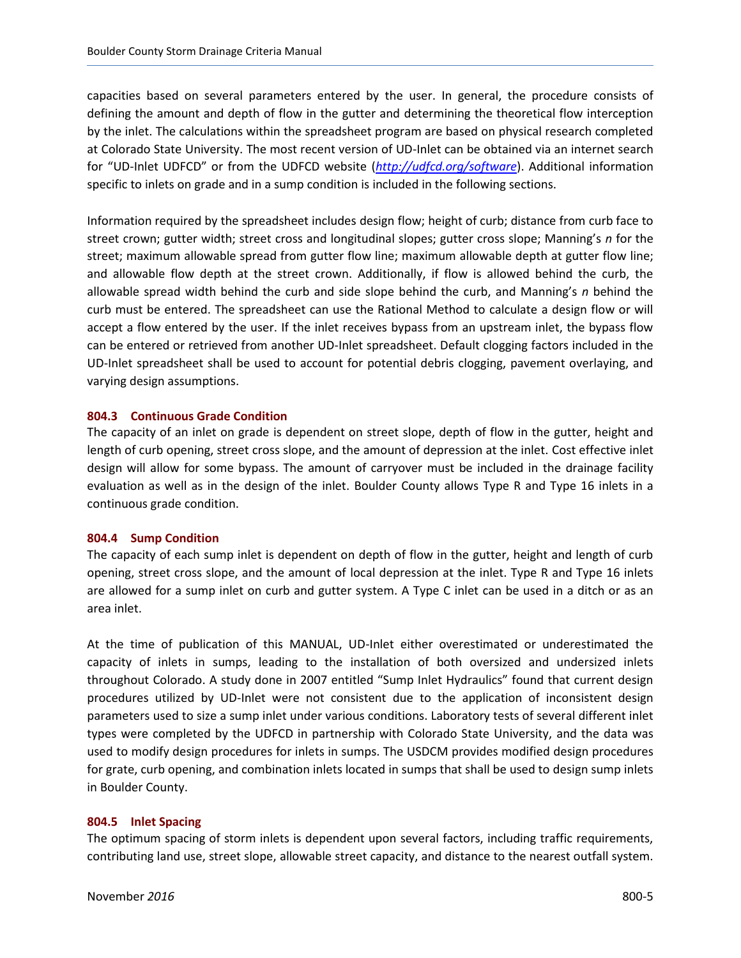<span id="page-6-0"></span>capacities based on several parameters entered by the user. In general, the procedure consists of defining the amount and depth of flow in the gutter and determining the theoretical flow interception by the inlet. The calculations within the spreadsheet program are based on physical research completed at Colorado State University. The most recent version of UD-Inlet can be obtained via an internet search for "UD-Inlet UDFCD" or from the UDFCD website (*<http://udfcd.org/software>*). Additional information specific to inlets on grade and in a sump condition is included in the following sections.

Information required by the spreadsheet includes design flow; height of curb; distance from curb face to street crown; gutter width; street cross and longitudinal slopes; gutter cross slope; Manning's *n* for the street; maximum allowable spread from gutter flow line; maximum allowable depth at gutter flow line; and allowable flow depth at the street crown. Additionally, if flow is allowed behind the curb, the allowable spread width behind the curb and side slope behind the curb, and Manning's *n* behind the curb must be entered. The spreadsheet can use the Rational Method to calculate a design flow or will accept a flow entered by the user. If the inlet receives bypass from an upstream inlet, the bypass flow can be entered or retrieved from another UD-Inlet spreadsheet. Default clogging factors included in the UD-Inlet spreadsheet shall be used to account for potential debris clogging, pavement overlaying, and varying design assumptions.

#### **804.3 Continuous Grade Condition**

The capacity of an inlet on grade is dependent on street slope, depth of flow in the gutter, height and length of curb opening, street cross slope, and the amount of depression at the inlet. Cost effective inlet design will allow for some bypass. The amount of carryover must be included in the drainage facility evaluation as well as in the design of the inlet. Boulder County allows Type R and Type 16 inlets in a continuous grade condition.

#### **804.4 Sump Condition**

The capacity of each sump inlet is dependent on depth of flow in the gutter, height and length of curb opening, street cross slope, and the amount of local depression at the inlet. Type R and Type 16 inlets are allowed for a sump inlet on curb and gutter system. A Type C inlet can be used in a ditch or as an area inlet.

At the time of publication of this MANUAL, UD-Inlet either overestimated or underestimated the capacity of inlets in sumps, leading to the installation of both oversized and undersized inlets throughout Colorado. A study done in 2007 entitled "Sump Inlet Hydraulics" found that current design procedures utilized by UD-Inlet were not consistent due to the application of inconsistent design parameters used to size a sump inlet under various conditions. Laboratory tests of several different inlet types were completed by the UDFCD in partnership with Colorado State University, and the data was used to modify design procedures for inlets in sumps. The USDCM provides modified design procedures for grate, curb opening, and combination inlets located in sumps that shall be used to design sump inlets in Boulder County.

#### **804.5 Inlet Spacing**

The optimum spacing of storm inlets is dependent upon several factors, including traffic requirements, contributing land use, street slope, allowable street capacity, and distance to the nearest outfall system.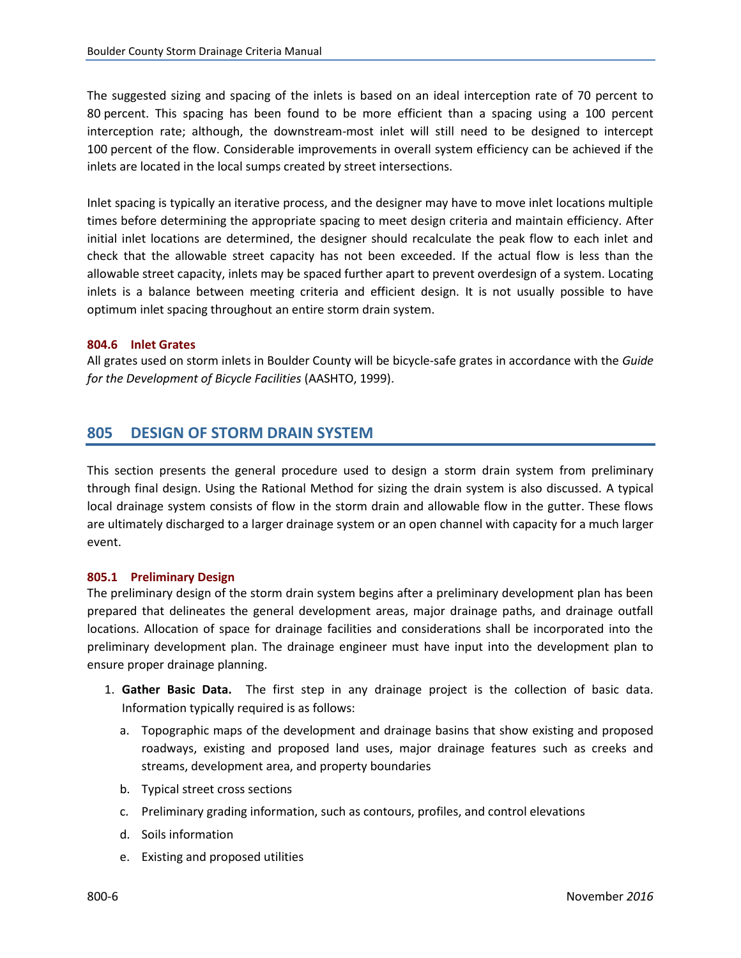<span id="page-7-0"></span>The suggested sizing and spacing of the inlets is based on an ideal interception rate of 70 percent to 80 percent. This spacing has been found to be more efficient than a spacing using a 100 percent interception rate; although, the downstream-most inlet will still need to be designed to intercept 100 percent of the flow. Considerable improvements in overall system efficiency can be achieved if the inlets are located in the local sumps created by street intersections.

Inlet spacing is typically an iterative process, and the designer may have to move inlet locations multiple times before determining the appropriate spacing to meet design criteria and maintain efficiency. After initial inlet locations are determined, the designer should recalculate the peak flow to each inlet and check that the allowable street capacity has not been exceeded. If the actual flow is less than the allowable street capacity, inlets may be spaced further apart to prevent overdesign of a system. Locating inlets is a balance between meeting criteria and efficient design. It is not usually possible to have optimum inlet spacing throughout an entire storm drain system.

#### **804.6 Inlet Grates**

All grates used on storm inlets in Boulder County will be bicycle-safe grates in accordance with the *Guide for the Development of Bicycle Facilities* (AASHTO, 1999).

# **805 DESIGN OF STORM DRAIN SYSTEM**

This section presents the general procedure used to design a storm drain system from preliminary through final design. Using the Rational Method for sizing the drain system is also discussed. A typical local drainage system consists of flow in the storm drain and allowable flow in the gutter. These flows are ultimately discharged to a larger drainage system or an open channel with capacity for a much larger event.

#### **805.1 Preliminary Design**

The preliminary design of the storm drain system begins after a preliminary development plan has been prepared that delineates the general development areas, major drainage paths, and drainage outfall locations. Allocation of space for drainage facilities and considerations shall be incorporated into the preliminary development plan. The drainage engineer must have input into the development plan to ensure proper drainage planning.

- 1. **Gather Basic Data.** The first step in any drainage project is the collection of basic data. Information typically required is as follows:
	- a. Topographic maps of the development and drainage basins that show existing and proposed roadways, existing and proposed land uses, major drainage features such as creeks and streams, development area, and property boundaries
	- b. Typical street cross sections
	- c. Preliminary grading information, such as contours, profiles, and control elevations
	- d. Soils information
	- e. Existing and proposed utilities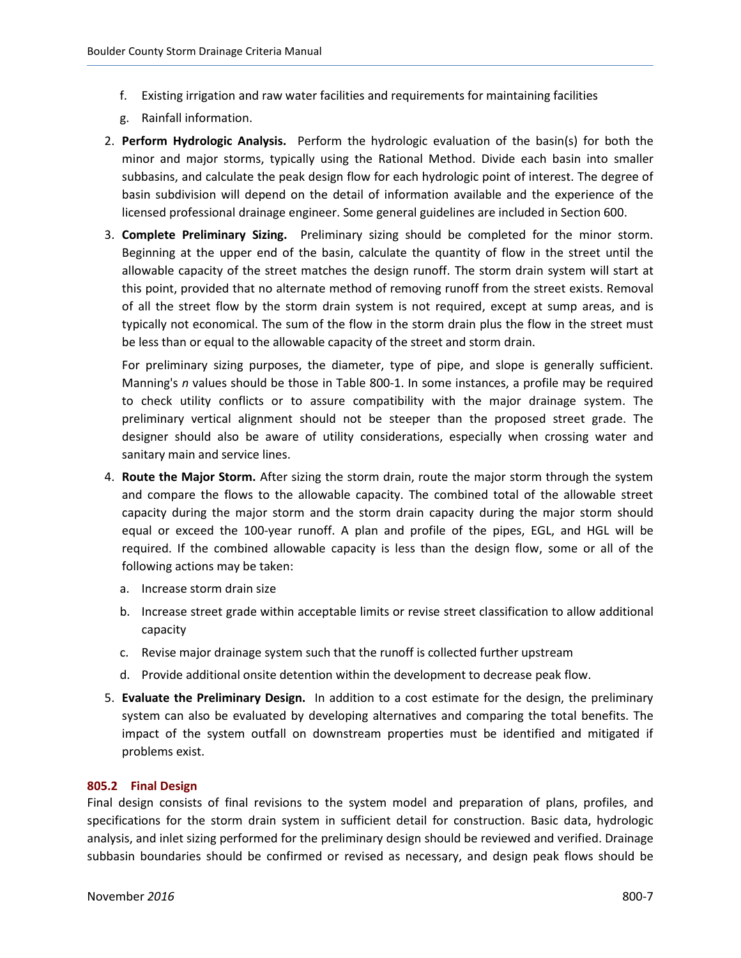- <span id="page-8-0"></span>f. Existing irrigation and raw water facilities and requirements for maintaining facilities
- g. Rainfall information.
- 2. **Perform Hydrologic Analysis.** Perform the hydrologic evaluation of the basin(s) for both the minor and major storms, typically using the Rational Method. Divide each basin into smaller subbasins, and calculate the peak design flow for each hydrologic point of interest. The degree of basin subdivision will depend on the detail of information available and the experience of the licensed professional drainage engineer. Some general guidelines are included in Section 600.
- 3. **Complete Preliminary Sizing.** Preliminary sizing should be completed for the minor storm. Beginning at the upper end of the basin, calculate the quantity of flow in the street until the allowable capacity of the street matches the design runoff. The storm drain system will start at this point, provided that no alternate method of removing runoff from the street exists. Removal of all the street flow by the storm drain system is not required, except at sump areas, and is typically not economical. The sum of the flow in the storm drain plus the flow in the street must be less than or equal to the allowable capacity of the street and storm drain.

For preliminary sizing purposes, the diameter, type of pipe, and slope is generally sufficient. Manning's *n* values should be those in Table 800-1. In some instances, a profile may be required to check utility conflicts or to assure compatibility with the major drainage system. The preliminary vertical alignment should not be steeper than the proposed street grade. The designer should also be aware of utility considerations, especially when crossing water and sanitary main and service lines.

- 4. **Route the Major Storm.** After sizing the storm drain, route the major storm through the system and compare the flows to the allowable capacity. The combined total of the allowable street capacity during the major storm and the storm drain capacity during the major storm should equal or exceed the 100-year runoff. A plan and profile of the pipes, EGL, and HGL will be required. If the combined allowable capacity is less than the design flow, some or all of the following actions may be taken:
	- a. Increase storm drain size
	- b. Increase street grade within acceptable limits or revise street classification to allow additional capacity
	- c. Revise major drainage system such that the runoff is collected further upstream
	- d. Provide additional onsite detention within the development to decrease peak flow.
- 5. **Evaluate the Preliminary Design.** In addition to a cost estimate for the design, the preliminary system can also be evaluated by developing alternatives and comparing the total benefits. The impact of the system outfall on downstream properties must be identified and mitigated if problems exist.

#### **805.2 Final Design**

Final design consists of final revisions to the system model and preparation of plans, profiles, and specifications for the storm drain system in sufficient detail for construction. Basic data, hydrologic analysis, and inlet sizing performed for the preliminary design should be reviewed and verified. Drainage subbasin boundaries should be confirmed or revised as necessary, and design peak flows should be